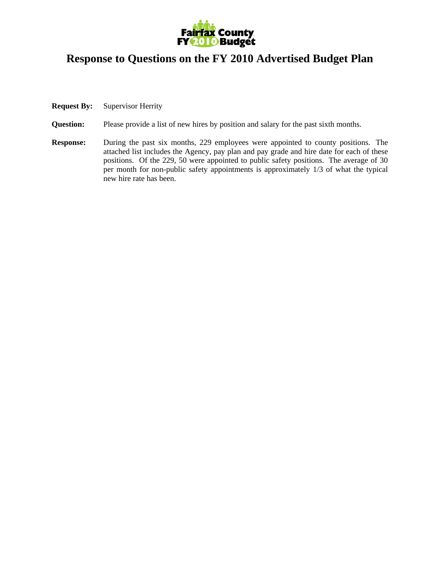

## **Response to Questions on the FY 2010 Advertised Budget Plan**

- **Request By:** Supervisor Herrity
- **Question:** Please provide a list of new hires by position and salary for the past sixth months.
- **Response:** During the past six months, 229 employees were appointed to county positions. The attached list includes the Agency, pay plan and pay grade and hire date for each of these positions. Of the 229, 50 were appointed to public safety positions. The average of 30 per month for non-public safety appointments is approximately 1/3 of what the typical new hire rate has been.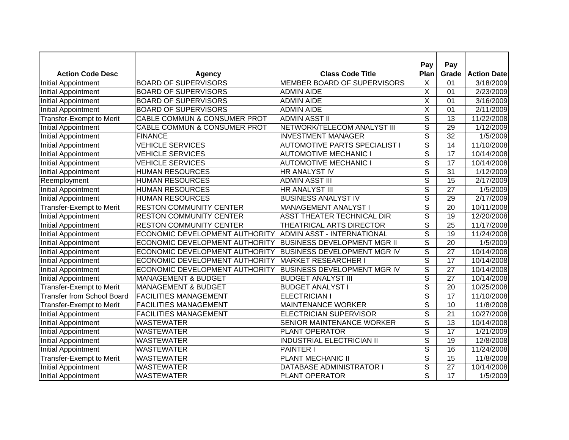| <b>Action Code Desc</b>           |                                         | <b>Class Code Title</b>              | Pay<br>Plan              | Pay<br>Grade    | <b>Action Date</b>     |
|-----------------------------------|-----------------------------------------|--------------------------------------|--------------------------|-----------------|------------------------|
| <b>Initial Appointment</b>        | Agency<br><b>BOARD OF SUPERVISORS</b>   | MEMBER BOARD OF SUPERVISORS          | X                        | 01              | 3/18/2009              |
| <b>Initial Appointment</b>        | <b>BOARD OF SUPERVISORS</b>             | <b>ADMIN AIDE</b>                    | X                        | 01              | 2/23/2009              |
| <b>Initial Appointment</b>        | <b>BOARD OF SUPERVISORS</b>             | <b>ADMIN AIDE</b>                    | X                        | 01              | 3/16/2009              |
| <b>Initial Appointment</b>        | <b>BOARD OF SUPERVISORS</b>             | <b>ADMIN AIDE</b>                    | X                        | 01              | 2/11/2009              |
| <b>Transfer-Exempt to Merit</b>   | CABLE COMMUN & CONSUMER PROT            | <b>ADMIN ASST II</b>                 | $\overline{s}$           | $\overline{13}$ | 11/22/2008             |
| <b>Initial Appointment</b>        | <b>CABLE COMMUN &amp; CONSUMER PROT</b> | NETWORK/TELECOM ANALYST III          | $\overline{\mathsf{s}}$  | 29              | $\frac{1}{1}$ /12/2009 |
|                                   | <b>FINANCE</b>                          |                                      | $\overline{\mathsf{s}}$  | 32              |                        |
| <b>Initial Appointment</b>        | <b>VEHICLE SERVICES</b>                 | <b>INVESTMENT MANAGER</b>            | $\overline{\mathsf{s}}$  | 14              | 1/5/2009               |
| <b>Initial Appointment</b>        |                                         | <b>AUTOMOTIVE PARTS SPECIALIST I</b> | $\overline{\mathsf{s}}$  |                 | 11/10/2008             |
| <b>Initial Appointment</b>        | <b>VEHICLE SERVICES</b>                 | <b>AUTOMOTIVE MECHANIC I</b>         |                          | 17              | 10/14/2008             |
| <b>Initial Appointment</b>        | <b>VEHICLE SERVICES</b>                 | <b>AUTOMOTIVE MECHANIC I</b>         | $\overline{S}$           | 17              | 10/14/2008             |
| Initial Appointment               | <b>HUMAN RESOURCES</b>                  | HR ANALYST IV                        | $\overline{S}$           | 31              | 1/12/2009              |
| Reemployment                      | <b>HUMAN RESOURCES</b>                  | <b>ADMIN ASST III</b>                | S                        | 15              | 2/17/2009              |
| <b>Initial Appointment</b>        | <b>HUMAN RESOURCES</b>                  | HR ANALYST III                       | $\overline{S}$           | 27              | 1/5/2009               |
| <b>Initial Appointment</b>        | <b>HUMAN RESOURCES</b>                  | <b>BUSINESS ANALYST IV</b>           | S                        | 29              | 2/17/2009              |
| <b>Transfer-Exempt to Merit</b>   | <b>RESTON COMMUNITY CENTER</b>          | MANAGEMENT ANALYST I                 | S                        | 20              | 10/11/2008             |
| <b>Initial Appointment</b>        | <b>RESTON COMMUNITY CENTER</b>          | ASST THEATER TECHNICAL DIR           | $\overline{S}$           | 19              | 12/20/2008             |
| <b>Initial Appointment</b>        | <b>RESTON COMMUNITY CENTER</b>          | THEATRICAL ARTS DIRECTOR             | S                        | 25              | 11/17/2008             |
| <b>Initial Appointment</b>        | ECONOMIC DEVELOPMENT AUTHORITY          | <b>ADMIN ASST - INTERNATIONAL</b>    | S                        | 19              | 11/24/2008             |
| <b>Initial Appointment</b>        | ECONOMIC DEVELOPMENT AUTHORITY          | <b>BUSINESS DEVELOPMENT MGR II</b>   | $\overline{\mathsf{s}}$  | 20              | 1/5/2009               |
| <b>Initial Appointment</b>        | ECONOMIC DEVELOPMENT AUTHORITY          | <b>BUSINESS DEVELOPMENT MGR IV</b>   | S                        | 27              | 10/14/2008             |
| <b>Initial Appointment</b>        | ECONOMIC DEVELOPMENT AUTHORITY          | <b>MARKET RESEARCHER I</b>           | S                        | 17              | 10/14/2008             |
| <b>Initial Appointment</b>        | ECONOMIC DEVELOPMENT AUTHORITY          | <b>BUSINESS DEVELOPMENT MGR IV</b>   | S                        | 27              | 10/14/2008             |
| <b>Initial Appointment</b>        | <b>MANAGEMENT &amp; BUDGET</b>          | <b>BUDGET ANALYST III</b>            | $\overline{s}$           | 27              | 10/14/2008             |
| <b>Transfer-Exempt to Merit</b>   | <b>MANAGEMENT &amp; BUDGET</b>          | <b>BUDGET ANALYST I</b>              | $\overline{\mathcal{S}}$ | 20              | 10/25/2008             |
| <b>Transfer from School Board</b> | <b>FACILITIES MANAGEMENT</b>            | <b>ELECTRICIAN I</b>                 | $\overline{\mathcal{S}}$ | 17              | 11/10/2008             |
| <b>Transfer-Exempt to Merit</b>   | <b>FACILITIES MANAGEMENT</b>            | <b>MAINTENANCE WORKER</b>            | $\overline{\mathsf{s}}$  | 10              | 11/8/2008              |
| <b>Initial Appointment</b>        | <b>FACILITIES MANAGEMENT</b>            | <b>ELECTRICIAN SUPERVISOR</b>        | $\overline{\mathsf{s}}$  | $\overline{21}$ | 10/27/2008             |
| <b>Initial Appointment</b>        | <b>WASTEWATER</b>                       | SENIOR MAINTENANCE WORKER            | $\overline{\mathsf{s}}$  | $\overline{13}$ | 10/14/2008             |
| <b>Initial Appointment</b>        | <b>WASTEWATER</b>                       | PLANT OPERATOR                       | $\overline{s}$           | 17              | 1/21/2009              |
| <b>Initial Appointment</b>        | <b>WASTEWATER</b>                       | <b>INDUSTRIAL ELECTRICIAN II</b>     | $\overline{s}$           | $\overline{19}$ | 12/8/2008              |
| <b>Initial Appointment</b>        | <b>WASTEWATER</b>                       | PAINTER I                            | $\overline{\mathsf{s}}$  | $\overline{16}$ | 11/24/2008             |
| Transfer-Exempt to Merit          | <b>WASTEWATER</b>                       | <b>PLANT MECHANIC II</b>             | $\overline{s}$           | $\overline{15}$ | 11/8/2008              |
| <b>Initial Appointment</b>        | <b>WASTEWATER</b>                       | DATABASE ADMINISTRATOR I             | $\overline{\mathsf{s}}$  | $\overline{27}$ | 10/14/2008             |
| <b>Initial Appointment</b>        | <b>WASTEWATER</b>                       | PLANT OPERATOR                       | $\overline{\mathsf{s}}$  | 17              | 1/5/2009               |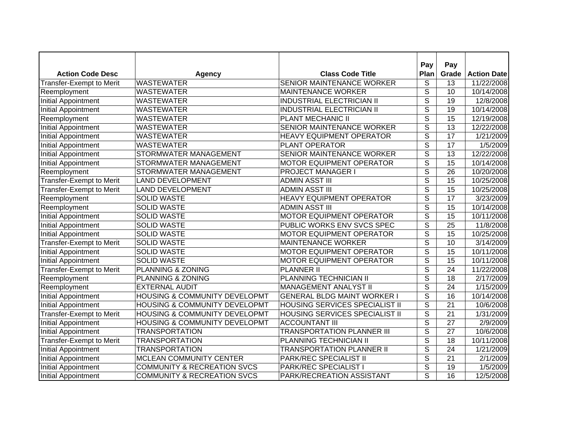| <b>Action Code Desc</b>         |                                          | <b>Class Code Title</b>               | Pay<br>Plan              | Pay             |                                  |
|---------------------------------|------------------------------------------|---------------------------------------|--------------------------|-----------------|----------------------------------|
| Transfer-Exempt to Merit        | <b>Agency</b><br><b>WASTEWATER</b>       | SENIOR MAINTENANCE WORKER             | S                        | Grade<br>13     | <b>Action Date</b><br>11/22/2008 |
|                                 | <b>WASTEWATER</b>                        | <b>MAINTENANCE WORKER</b>             | $\overline{s}$           | 10              | 10/14/2008                       |
| Reemployment                    |                                          | <b>INDUSTRIAL ELECTRICIAN II</b>      | $\overline{\mathsf{s}}$  | 19              |                                  |
| <b>Initial Appointment</b>      | <b>WASTEWATER</b>                        |                                       |                          |                 | 12/8/2008                        |
| <b>Initial Appointment</b>      | <b>WASTEWATER</b>                        | <b>INDUSTRIAL ELECTRICIAN II</b>      | $\overline{s}$           | 19              | 10/14/2008                       |
| Reemployment                    | <b>WASTEWATER</b>                        | PLANT MECHANIC II                     | $\overline{\mathsf{s}}$  | 15              | 12/19/2008                       |
| <b>Initial Appointment</b>      | <b>WASTEWATER</b>                        | SENIOR MAINTENANCE WORKER             | $\overline{s}$           | $\overline{13}$ | 12/22/2008                       |
| <b>Initial Appointment</b>      | <b>WASTEWATER</b>                        | <b>HEAVY EQUIPMENT OPERATOR</b>       | $\overline{\mathsf{s}}$  | 17              | 1/21/2009                        |
| <b>Initial Appointment</b>      | <b>WASTEWATER</b>                        | PLANT OPERATOR                        | $\overline{\mathsf{s}}$  | 17              | 1/5/2009                         |
| <b>Initial Appointment</b>      | STORMWATER MANAGEMENT                    | SENIOR MAINTENANCE WORKER             | S                        | 13              | 12/22/2008                       |
| Initial Appointment             | STORMWATER MANAGEMENT                    | <b>MOTOR EQUIPMENT OPERATOR</b>       | $\overline{\mathsf{s}}$  | 15              | 10/14/2008                       |
| Reemployment                    | STORMWATER MANAGEMENT                    | <b>PROJECT MANAGER I</b>              | $\overline{S}$           | 26              | 10/20/2008                       |
| Transfer-Exempt to Merit        | <b>LAND DEVELOPMENT</b>                  | <b>ADMIN ASST III</b>                 | S                        | 15              | 10/25/2008                       |
| Transfer-Exempt to Merit        | <b>LAND DEVELOPMENT</b>                  | <b>ADMIN ASST III</b>                 | $\overline{S}$           | 15              | 10/25/2008                       |
| Reemployment                    | <b>SOLID WASTE</b>                       | HEAVY EQUIPMENT OPERATOR              | S                        | 17              | 3/23/2009                        |
| Reemployment                    | <b>SOLID WASTE</b>                       | <b>ADMIN ASST III</b>                 | S                        | 15              | 10/14/2008                       |
| Initial Appointment             | <b>SOLID WASTE</b>                       | <b>MOTOR EQUIPMENT OPERATOR</b>       | S                        | 15              | 10/11/2008                       |
| Initial Appointment             | <b>SOLID WASTE</b>                       | PUBLIC WORKS ENV SVCS SPEC            | S                        | 25              | 11/8/2008                        |
| Initial Appointment             | <b>SOLID WASTE</b>                       | <b>MOTOR EQUIPMENT OPERATOR</b>       | S                        | 15              | 10/25/2008                       |
| <b>Transfer-Exempt to Merit</b> | <b>SOLID WASTE</b>                       | <b>MAINTENANCE WORKER</b>             | s                        | 10              | 3/14/2009                        |
| Initial Appointment             | <b>SOLID WASTE</b>                       | <b>MOTOR EQUIPMENT OPERATOR</b>       | s                        | 15              | 10/11/2008                       |
| <b>Initial Appointment</b>      | <b>SOLID WASTE</b>                       | <b>MOTOR EQUIPMENT OPERATOR</b>       | S                        | 15              | 10/11/2008                       |
| Transfer-Exempt to Merit        | PLANNING & ZONING                        | <b>PLANNER II</b>                     | $\overline{S}$           | 24              | 11/22/2008                       |
| Reemployment                    | PLANNING & ZONING                        | PLANNING TECHNICIAN II                | S                        | 18              | 2/17/2009                        |
| Reemployment                    | <b>EXTERNAL AUDIT</b>                    | <b>MANAGEMENT ANALYST II</b>          | $\overline{\mathsf{s}}$  | 24              | 1/15/2009                        |
| <b>Initial Appointment</b>      | <b>HOUSING &amp; COMMUNITY DEVELOPMT</b> | <b>GENERAL BLDG MAINT WORKER I</b>    | $\overline{\mathcal{S}}$ | 16              | 10/14/2008                       |
| <b>Initial Appointment</b>      | <b>HOUSING &amp; COMMUNITY DEVELOPMT</b> | HOUSING SERVICES SPECIALIST II        | $\overline{s}$           | $\overline{21}$ | 10/6/2008                        |
| <b>Transfer-Exempt to Merit</b> | <b>HOUSING &amp; COMMUNITY DEVELOPMT</b> | <b>HOUSING SERVICES SPECIALIST II</b> | $\overline{\mathsf{s}}$  | $\overline{21}$ | 1/31/2009                        |
| <b>Initial Appointment</b>      | <b>HOUSING &amp; COMMUNITY DEVELOPMT</b> | <b>ACCOUNTANT III</b>                 | $\overline{s}$           | 27              | 2/9/2009                         |
| Initial Appointment             | <b>TRANSPORTATION</b>                    | <b>TRANSPORTATION PLANNER III</b>     | $\overline{s}$           | 27              | 10/6/2008                        |
| <b>Transfer-Exempt to Merit</b> | <b>TRANSPORTATION</b>                    | PLANNING TECHNICIAN II                | $\overline{s}$           | $\overline{18}$ | 10/11/2008                       |
| <b>Initial Appointment</b>      | <b>TRANSPORTATION</b>                    | <b>TRANSPORTATION PLANNER II</b>      | $\overline{\mathsf{s}}$  | $\overline{24}$ | 1/21/2009                        |
| <b>Initial Appointment</b>      | MCLEAN COMMUNITY CENTER                  | PARK/REC SPECIALIST II                | $\overline{s}$           | $\overline{21}$ | 2/1/2009                         |
| <b>Initial Appointment</b>      | <b>COMMUNITY &amp; RECREATION SVCS</b>   | <b>PARK/REC SPECIALIST I</b>          | $\overline{\mathsf{s}}$  | $\overline{19}$ | 1/5/2009                         |
| Initial Appointment             | <b>COMMUNITY &amp; RECREATION SVCS</b>   | PARK/RECREATION ASSISTANT             | $\overline{\mathsf{s}}$  | $\overline{16}$ | 12/5/2008                        |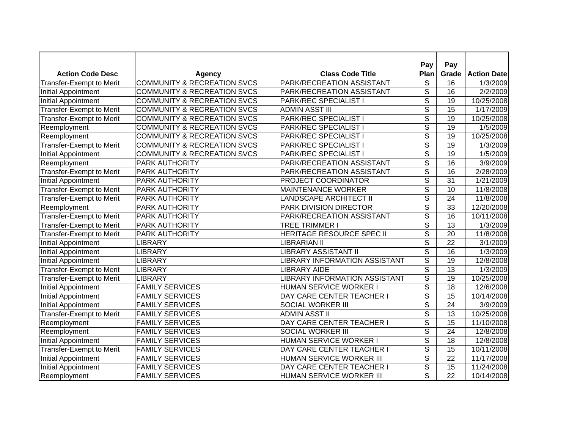|                                 |                                        |                                      | Pay                      | Pay             |                    |
|---------------------------------|----------------------------------------|--------------------------------------|--------------------------|-----------------|--------------------|
| <b>Action Code Desc</b>         | <b>Agency</b>                          | <b>Class Code Title</b>              | Plan                     | Grade           | <b>Action Date</b> |
| Transfer-Exempt to Merit        | <b>COMMUNITY &amp; RECREATION SVCS</b> | PARK/RECREATION ASSISTANT            | S                        | 16              | 1/3/2009           |
| Initial Appointment             | <b>COMMUNITY &amp; RECREATION SVCS</b> | PARK/RECREATION ASSISTANT            | $\overline{s}$           | 16              | 2/2/2009           |
| <b>Initial Appointment</b>      | <b>COMMUNITY &amp; RECREATION SVCS</b> | PARK/REC SPECIALIST I                | $\overline{\mathsf{s}}$  | 19              | 10/25/2008         |
| Transfer-Exempt to Merit        | <b>COMMUNITY &amp; RECREATION SVCS</b> | <b>ADMIN ASST III</b>                | $\overline{s}$           | 15              | 1/17/2009          |
| <b>Transfer-Exempt to Merit</b> | <b>COMMUNITY &amp; RECREATION SVCS</b> | PARK/REC SPECIALIST I                | $\overline{\mathsf{s}}$  | 19              | 10/25/2008         |
| Reemployment                    | <b>COMMUNITY &amp; RECREATION SVCS</b> | PARK/REC SPECIALIST I                | $\overline{\mathsf{s}}$  | 19              | 1/5/2009           |
| Reemployment                    | <b>COMMUNITY &amp; RECREATION SVCS</b> | PARK/REC SPECIALIST I                | $\overline{\mathsf{s}}$  | 19              | 10/25/2008         |
| Transfer-Exempt to Merit        | <b>COMMUNITY &amp; RECREATION SVCS</b> | PARK/REC SPECIALIST I                | $\overline{\mathsf{s}}$  | $\overline{19}$ | 1/3/2009           |
| <b>Initial Appointment</b>      | <b>COMMUNITY &amp; RECREATION SVCS</b> | PARK/REC SPECIALIST I                | $\overline{\mathcal{S}}$ | 19              | 1/5/2009           |
| Reemployment                    | PARK AUTHORITY                         | PARK/RECREATION ASSISTANT            | $\overline{S}$           | 16              | 3/9/2009           |
| Transfer-Exempt to Merit        | <b>PARK AUTHORITY</b>                  | PARK/RECREATION ASSISTANT            | S                        | 16              | 2/28/2009          |
| Initial Appointment             | <b>PARK AUTHORITY</b>                  | PROJECT COORDINATOR                  | S                        | 31              | 1/21/2009          |
| Transfer-Exempt to Merit        | <b>PARK AUTHORITY</b>                  | <b>MAINTENANCE WORKER</b>            | $\overline{S}$           | 10              | 11/8/2008          |
| Transfer-Exempt to Merit        | PARK AUTHORITY                         | <b>LANDSCAPE ARCHITECT II</b>        | $\overline{\mathcal{S}}$ | 24              | 11/8/2008          |
| Reemployment                    | PARK AUTHORITY                         | PARK DIVISION DIRECTOR               | S                        | 33              | 12/20/2008         |
| Transfer-Exempt to Merit        | PARK AUTHORITY                         | PARK/RECREATION ASSISTANT            | $\overline{\mathcal{S}}$ | 16              | 10/11/2008         |
| Transfer-Exempt to Merit        | PARK AUTHORITY                         | <b>TREE TRIMMER I</b>                | S                        | 13              | 1/3/2009           |
| Transfer-Exempt to Merit        | PARK AUTHORITY                         | HERITAGE RESOURCE SPEC II            | S                        | 20              | 11/8/2008          |
| Initial Appointment             | <b>LIBRARY</b>                         | <b>LIBRARIAN II</b>                  | $\overline{\mathcal{S}}$ | 22              | 3/1/2009           |
| Initial Appointment             | <b>LIBRARY</b>                         | <b>LIBRARY ASSISTANT II</b>          | S                        | 16              | 1/3/2009           |
| <b>Initial Appointment</b>      | <b>LIBRARY</b>                         | <b>LIBRARY INFORMATION ASSISTANT</b> | S                        | 19              | 12/8/2008          |
| Transfer-Exempt to Merit        | <b>LIBRARY</b>                         | <b>LIBRARY AIDE</b>                  | S                        | 13              | 1/3/2009           |
| Transfer-Exempt to Merit        | <b>LIBRARY</b>                         | <b>LIBRARY INFORMATION ASSISTANT</b> | S                        | 19              | 10/25/2008         |
| <b>Initial Appointment</b>      | <b>FAMILY SERVICES</b>                 | HUMAN SERVICE WORKER I               | $\overline{\mathcal{S}}$ | 18              | 12/6/2008          |
| <b>Initial Appointment</b>      | <b>FAMILY SERVICES</b>                 | DAY CARE CENTER TEACHER I            | $\overline{\mathcal{S}}$ | 15              | 10/14/2008         |
| <b>Initial Appointment</b>      | <b>FAMILY SERVICES</b>                 | SOCIAL WORKER III                    | $\overline{\mathsf{s}}$  | $\overline{24}$ | 3/9/2009           |
| <b>Transfer-Exempt to Merit</b> | <b>FAMILY SERVICES</b>                 | <b>ADMIN ASST II</b>                 | $\overline{\mathsf{s}}$  | $\overline{13}$ | 10/25/2008         |
| Reemployment                    | <b>FAMILY SERVICES</b>                 | DAY CARE CENTER TEACHER I            | $\overline{\mathsf{s}}$  | $\overline{15}$ | 11/10/2008         |
| Reemployment                    | <b>FAMILY SERVICES</b>                 | <b>SOCIAL WORKER III</b>             | $\overline{s}$           | $\overline{24}$ | 12/8/2008          |
| <b>Initial Appointment</b>      | <b>FAMILY SERVICES</b>                 | HUMAN SERVICE WORKER I               | $\overline{\mathsf{s}}$  | $\overline{18}$ | 12/8/2008          |
| Transfer-Exempt to Merit        | <b>FAMILY SERVICES</b>                 | DAY CARE CENTER TEACHER I            | $\overline{\mathsf{s}}$  | $\overline{15}$ | 10/11/2008         |
| <b>Initial Appointment</b>      | <b>FAMILY SERVICES</b>                 | HUMAN SERVICE WORKER III             | $\overline{s}$           | $\overline{22}$ | 11/17/2008         |
| <b>Initial Appointment</b>      | <b>FAMILY SERVICES</b>                 | DAY CARE CENTER TEACHER I            | $\overline{\mathsf{s}}$  | 15              | 11/24/2008         |
| Reemployment                    | <b>FAMILY SERVICES</b>                 | HUMAN SERVICE WORKER III             | S                        | $\overline{22}$ | 10/14/2008         |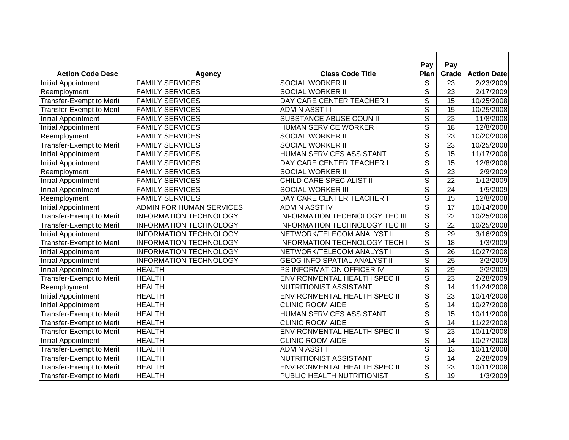|                                 |                               |                                       | Pay                      | Pay             |                        |
|---------------------------------|-------------------------------|---------------------------------------|--------------------------|-----------------|------------------------|
| <b>Action Code Desc</b>         | <b>Agency</b>                 | <b>Class Code Title</b>               | Plan                     | Grade           | <b>Action Date</b>     |
| <b>Initial Appointment</b>      | <b>FAMILY SERVICES</b>        | <b>SOCIAL WORKER II</b>               | S                        | 23              | 2/23/2009              |
| Reemployment                    | <b>FAMILY SERVICES</b>        | <b>SOCIAL WORKER II</b>               | $\overline{s}$           | 23              | $\sqrt{2/17/2009}$     |
| <b>Transfer-Exempt to Merit</b> | <b>FAMILY SERVICES</b>        | DAY CARE CENTER TEACHER I             | $\overline{s}$           | 15              | 10/25/2008             |
| <b>Transfer-Exempt to Merit</b> | <b>FAMILY SERVICES</b>        | <b>ADMIN ASST III</b>                 | $\overline{\mathsf{s}}$  | 15              | 10/25/2008             |
| <b>Initial Appointment</b>      | <b>FAMILY SERVICES</b>        | <b>SUBSTANCE ABUSE COUN II</b>        | $\overline{\mathsf{s}}$  | $\overline{23}$ | 11/8/2008              |
| <b>Initial Appointment</b>      | <b>FAMILY SERVICES</b>        | HUMAN SERVICE WORKER I                | $\overline{s}$           | 18              | 12/8/2008              |
| Reemployment                    | <b>FAMILY SERVICES</b>        | <b>SOCIAL WORKER II</b>               | $\overline{s}$           | 23              | 10/20/2008             |
| Transfer-Exempt to Merit        | <b>FAMILY SERVICES</b>        | <b>SOCIAL WORKER II</b>               | $\overline{\mathsf{s}}$  | $\overline{23}$ | 10/25/2008             |
| <b>Initial Appointment</b>      | <b>FAMILY SERVICES</b>        | HUMAN SERVICES ASSISTANT              | S                        | 15              | 11/17/2008             |
| <b>Initial Appointment</b>      | <b>FAMILY SERVICES</b>        | DAY CARE CENTER TEACHER I             | $\overline{s}$           | 15              | 12/8/2008              |
| Reemployment                    | <b>FAMILY SERVICES</b>        | <b>SOCIAL WORKER II</b>               | $\overline{S}$           | 23              | 2/9/2009               |
| <b>Initial Appointment</b>      | <b>FAMILY SERVICES</b>        | CHILD CARE SPECIALIST II              | $\overline{S}$           | 22              | $\frac{1}{1}$ /12/2009 |
| <b>Initial Appointment</b>      | <b>FAMILY SERVICES</b>        | <b>SOCIAL WORKER III</b>              | S                        | 24              | 1/5/2009               |
| Reemployment                    | <b>FAMILY SERVICES</b>        | DAY CARE CENTER TEACHER I             | $\overline{\mathcal{S}}$ | 15              | 12/8/2008              |
| <b>Initial Appointment</b>      | ADMIN FOR HUMAN SERVICES      | <b>ADMIN ASST IV</b>                  | $\overline{\mathcal{S}}$ | 17              | 10/14/2008             |
| Transfer-Exempt to Merit        | <b>INFORMATION TECHNOLOGY</b> | <b>INFORMATION TECHNOLOGY TEC III</b> | S                        | 22              | 10/25/2008             |
| Transfer-Exempt to Merit        | <b>INFORMATION TECHNOLOGY</b> | <b>INFORMATION TECHNOLOGY TEC III</b> | $\overline{s}$           | $\overline{22}$ | 10/25/2008             |
| <b>Initial Appointment</b>      | <b>INFORMATION TECHNOLOGY</b> | NETWORK/TELECOM ANALYST III           | $\overline{\mathcal{S}}$ | 29              | 3/16/2009              |
| <b>Transfer-Exempt to Merit</b> | <b>INFORMATION TECHNOLOGY</b> | <b>INFORMATION TECHNOLOGY TECH I</b>  | $\overline{s}$           | 18              | 1/3/2009               |
| <b>Initial Appointment</b>      | <b>INFORMATION TECHNOLOGY</b> | NETWORK/TELECOM ANALYST II            | S                        | 26              | 10/27/2008             |
| <b>Initial Appointment</b>      | <b>INFORMATION TECHNOLOGY</b> | <b>GEOG INFO SPATIAL ANALYST II</b>   | $\overline{\mathcal{S}}$ | 25              | 3/2/2009               |
| <b>Initial Appointment</b>      | <b>HEALTH</b>                 | PS INFORMATION OFFICER IV             | $\overline{\mathcal{S}}$ | 29              | 2/2/2009               |
| <b>Transfer-Exempt to Merit</b> | <b>HEALTH</b>                 | ENVIRONMENTAL HEALTH SPEC II          | S                        | 23              | 2/28/2009              |
| Reemployment                    | <b>HEALTH</b>                 | NUTRITIONIST ASSISTANT                | $\overline{\mathsf{s}}$  | 14              | 11/24/2008             |
| <b>Initial Appointment</b>      | <b>HEALTH</b>                 | ENVIRONMENTAL HEALTH SPEC II          | $\overline{\mathcal{S}}$ | 23              | 10/14/2008             |
| Initial Appointment             | <b>HEALTH</b>                 | <b>CLINIC ROOM AIDE</b>               | $\overline{\mathsf{s}}$  | 14              | 10/27/2008             |
| <b>Transfer-Exempt to Merit</b> | <b>HEALTH</b>                 | <b>HUMAN SERVICES ASSISTANT</b>       | $\overline{\mathsf{s}}$  | $\overline{15}$ | 10/11/2008             |
| <b>Transfer-Exempt to Merit</b> | <b>HEALTH</b>                 | <b>CLINIC ROOM AIDE</b>               | $\overline{s}$           | $\overline{14}$ | 11/22/2008             |
| <b>Transfer-Exempt to Merit</b> | <b>HEALTH</b>                 | ENVIRONMENTAL HEALTH SPEC II          | $\overline{s}$           | $\overline{23}$ | 10/11/2008             |
| <b>Initial Appointment</b>      | <b>HEALTH</b>                 | <b>CLINIC ROOM AIDE</b>               | $\overline{s}$           | 14              | 10/27/2008             |
| <b>Transfer-Exempt to Merit</b> | <b>HEALTH</b>                 | <b>ADMIN ASST II</b>                  | $\overline{\mathsf{s}}$  | $\overline{13}$ | 10/11/2008             |
| <b>Transfer-Exempt to Merit</b> | <b>HEALTH</b>                 | NUTRITIONIST ASSISTANT                | $\overline{s}$           | 14              | 2/28/2009              |
| Transfer-Exempt to Merit        | <b>HEALTH</b>                 | ENVIRONMENTAL HEALTH SPEC II          | $\overline{\mathsf{s}}$  | 23              | 10/11/2008             |
| <b>Transfer-Exempt to Merit</b> | <b>HEALTH</b>                 | PUBLIC HEALTH NUTRITIONIST            | S                        | $\overline{19}$ | 1/3/2009               |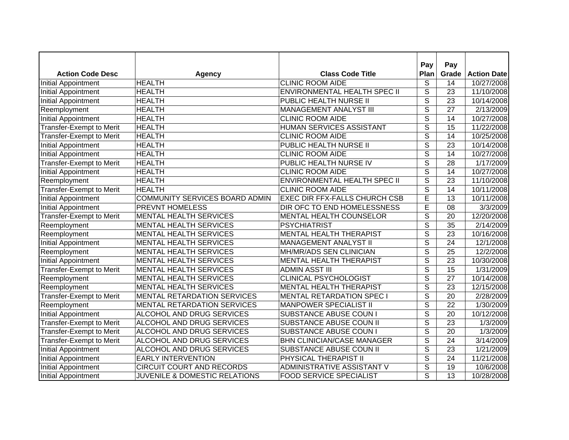|                            |                                          |                                     | Pay                      | Pay             |                    |
|----------------------------|------------------------------------------|-------------------------------------|--------------------------|-----------------|--------------------|
| <b>Action Code Desc</b>    | <b>Agency</b>                            | <b>Class Code Title</b>             | Plan                     | Grade           | <b>Action Date</b> |
| Initial Appointment        | <b>HEALTH</b>                            | <b>CLINIC ROOM AIDE</b>             | S                        | 14              | 10/27/2008         |
| <b>Initial Appointment</b> | <b>HEALTH</b>                            | <b>ENVIRONMENTAL HEALTH SPEC II</b> | $\overline{s}$           | 23              | 11/10/2008         |
| Initial Appointment        | <b>HEALTH</b>                            | PUBLIC HEALTH NURSE II              | $\overline{s}$           | $\overline{23}$ | 10/14/2008         |
| Reemployment               | <b>HEALTH</b>                            | MANAGEMENT ANALYST III              | $\overline{s}$           | 27              | 2/13/2009          |
| <b>Initial Appointment</b> | <b>HEALTH</b>                            | <b>CLINIC ROOM AIDE</b>             | $\overline{\mathsf{s}}$  | 14              | 10/27/2008         |
| Transfer-Exempt to Merit   | <b>HEALTH</b>                            | <b>HUMAN SERVICES ASSISTANT</b>     | $\overline{s}$           | 15              | 11/22/2008         |
| Transfer-Exempt to Merit   | <b>HEALTH</b>                            | <b>CLINIC ROOM AIDE</b>             | $\overline{\mathsf{s}}$  | 14              | 10/25/2008         |
| <b>Initial Appointment</b> | <b>HEALTH</b>                            | PUBLIC HEALTH NURSE II              | $\overline{s}$           | $\overline{23}$ | 10/14/2008         |
| Initial Appointment        | <b>HEALTH</b>                            | <b>CLINIC ROOM AIDE</b>             | S                        | 14              | 10/27/2008         |
| Transfer-Exempt to Merit   | <b>HEALTH</b>                            | PUBLIC HEALTH NURSE IV              | $\overline{\mathsf{s}}$  | 28              | 1/17/2009          |
| <b>Initial Appointment</b> | <b>HEALTH</b>                            | <b>CLINIC ROOM AIDE</b>             | $\overline{S}$           | 14              | 10/27/2008         |
| Reemployment               | <b>HEALTH</b>                            | ENVIRONMENTAL HEALTH SPEC II        | S                        | 23              | 11/10/2008         |
| Transfer-Exempt to Merit   | <b>HEALTH</b>                            | <b>CLINIC ROOM AIDE</b>             | $\overline{S}$           | 14              | 10/11/2008         |
| Initial Appointment        | COMMUNITY SERVICES BOARD ADMIN           | EXEC DIR FFX-FALLS CHURCH CSB       | E                        | 13              | 10/11/2008         |
| Initial Appointment        | PREVNT HOMELESS                          | DIR OFC TO END HOMELESSNESS         | E                        | 08              | 3/3/2009           |
| Transfer-Exempt to Merit   | <b>MENTAL HEALTH SERVICES</b>            | MENTAL HEALTH COUNSELOR             | S                        | 20              | 12/20/2008         |
| Reemployment               | <b>MENTAL HEALTH SERVICES</b>            | <b>PSYCHIATRIST</b>                 | S                        | 35              | 2/14/2009          |
| Reemployment               | <b>MENTAL HEALTH SERVICES</b>            | <b>MENTAL HEALTH THERAPIST</b>      | S                        | 23              | 10/16/2008         |
| Initial Appointment        | <b>MENTAL HEALTH SERVICES</b>            | <b>MANAGEMENT ANALYST II</b>        | $\overline{\mathsf{s}}$  | 24              | 12/1/2008          |
| Reemployment               | <b>MENTAL HEALTH SERVICES</b>            | MH/MR/ADS SEN CLINICIAN             | S                        | 25              | 12/2/2008          |
| <b>Initial Appointment</b> | <b>MENTAL HEALTH SERVICES</b>            | <b>MENTAL HEALTH THERAPIST</b>      | S                        | 23              | 10/30/2008         |
| Transfer-Exempt to Merit   | <b>MENTAL HEALTH SERVICES</b>            | <b>ADMIN ASST III</b>               | $\overline{S}$           | 15              | 1/31/2009          |
| Reemployment               | <b>MENTAL HEALTH SERVICES</b>            | <b>CLINICAL PSYCHOLOGIST</b>        | S                        | 27              | 10/14/2008         |
| Reemployment               | <b>MENTAL HEALTH SERVICES</b>            | <b>MENTAL HEALTH THERAPIST</b>      | $\overline{\mathcal{S}}$ | 23              | 12/15/2008         |
| Transfer-Exempt to Merit   | MENTAL RETARDATION SERVICES              | <b>MENTAL RETARDATION SPEC I</b>    | S                        | 20              | 2/28/2009          |
| Reemployment               | <b>MENTAL RETARDATION SERVICES</b>       | <b>MANPOWER SPECIALIST II</b>       | $\overline{s}$           | 22              | 1/30/2009          |
| <b>Initial Appointment</b> | ALCOHOL AND DRUG SERVICES                | SUBSTANCE ABUSE COUN I              | $\overline{\mathsf{s}}$  | $\overline{20}$ | 10/12/2008         |
| Transfer-Exempt to Merit   | ALCOHOL AND DRUG SERVICES                | SUBSTANCE ABUSE COUN II             | $\overline{s}$           | $\overline{23}$ | 1/3/2009           |
| Transfer-Exempt to Merit   | ALCOHOL AND DRUG SERVICES                | SUBSTANCE ABUSE COUN I              | $\overline{s}$           | 20              | 1/3/2009           |
| Transfer-Exempt to Merit   | ALCOHOL AND DRUG SERVICES                | <b>BHN CLINICIAN/CASE MANAGER</b>   | $\overline{s}$           | 24              | 3/14/2009          |
| <b>Initial Appointment</b> | ALCOHOL AND DRUG SERVICES                | SUBSTANCE ABUSE COUN II             | $\overline{\mathsf{s}}$  | $\overline{23}$ | 1/21/2009          |
| <b>Initial Appointment</b> | <b>EARLY INTERVENTION</b>                | PHYSICAL THERAPIST II               | $\overline{s}$           | 24              | 11/21/2008         |
| <b>Initial Appointment</b> | <b>CIRCUIT COURT AND RECORDS</b>         | ADMINISTRATIVE ASSISTANT V          | $\overline{\mathsf{s}}$  | $\overline{19}$ | 10/6/2008          |
| Initial Appointment        | <b>JUVENILE &amp; DOMESTIC RELATIONS</b> | <b>FOOD SERVICE SPECIALIST</b>      | S                        | $\overline{13}$ | 10/28/2008         |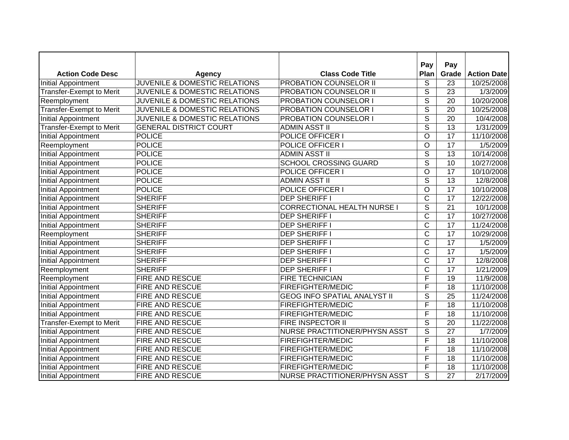|                                 |                                          |                                      | Pay                      | Pay             |                       |
|---------------------------------|------------------------------------------|--------------------------------------|--------------------------|-----------------|-----------------------|
| <b>Action Code Desc</b>         | <b>Agency</b>                            | <b>Class Code Title</b>              | Plan                     | Grade           | <b>Action Date</b>    |
| Initial Appointment             | <b>JUVENILE &amp; DOMESTIC RELATIONS</b> | PROBATION COUNSELOR II               | S                        | 23              | 10/25/2008            |
| Transfer-Exempt to Merit        | JUVENILE & DOMESTIC RELATIONS            | PROBATION COUNSELOR II               | $\overline{\mathcal{S}}$ | $\overline{23}$ | 1/3/2009              |
| Reemployment                    | JUVENILE & DOMESTIC RELATIONS            | PROBATION COUNSELOR I                | $\overline{\mathsf{s}}$  | 20              | 10/20/2008            |
| Transfer-Exempt to Merit        | <b>JUVENILE &amp; DOMESTIC RELATIONS</b> | PROBATION COUNSELOR I                | $\overline{\mathsf{s}}$  | $\overline{20}$ | 10/25/2008            |
| <b>Initial Appointment</b>      | JUVENILE & DOMESTIC RELATIONS            | PROBATION COUNSELOR I                | $\overline{s}$           | 20              | 10/4/2008             |
| Transfer-Exempt to Merit        | <b>GENERAL DISTRICT COURT</b>            | <b>ADMIN ASST II</b>                 | $\overline{s}$           | 13              | 1/31/2009             |
| <b>Initial Appointment</b>      | <b>POLICE</b>                            | POLICE OFFICER I                     | O                        | $\overline{17}$ | 11/10/2008            |
| Reemployment                    | <b>POLICE</b>                            | POLICE OFFICER I                     | O                        | 17              | 1/5/2009              |
| <b>Initial Appointment</b>      | <b>POLICE</b>                            | <b>ADMIN ASST II</b>                 | S                        | 13              | 10/14/2008            |
| <b>Initial Appointment</b>      | <b>POLICE</b>                            | <b>SCHOOL CROSSING GUARD</b>         | $\overline{S}$           | 10              | 10/27/2008            |
| <b>Initial Appointment</b>      | <b>POLICE</b>                            | POLICE OFFICER I                     | $\circ$                  | 17              | 10/10/2008            |
| Initial Appointment             | <b>POLICE</b>                            | <b>ADMIN ASST II</b>                 | $\overline{\mathcal{S}}$ | 13              | 12/8/2008             |
| Initial Appointment             | <b>POLICE</b>                            | POLICE OFFICER I                     | $\circ$                  | 17              | 10/10/2008            |
| Initial Appointment             | <b>SHERIFF</b>                           | <b>DEP SHERIFF I</b>                 | C                        | 17              | 12/22/2008            |
| Initial Appointment             | <b>SHERIFF</b>                           | <b>CORRECTIONAL HEALTH NURSE I</b>   | S                        | 21              | 10/1/2008             |
| Initial Appointment             | <b>SHERIFF</b>                           | <b>DEP SHERIFF I</b>                 | C                        | 17              | 10/27/2008            |
| Initial Appointment             | <b>SHERIFF</b>                           | <b>DEP SHERIFF I</b>                 | $\mathsf{C}$             | 17              | 11/24/2008            |
| Reemployment                    | <b>SHERIFF</b>                           | <b>DEP SHERIFF I</b>                 | C                        | 17              | 10/29/2008            |
| Initial Appointment             | <b>SHERIFF</b>                           | <b>DEP SHERIFF I</b>                 | C                        | 17              | $\overline{1}/5/2009$ |
| <b>Initial Appointment</b>      | <b>SHERIFF</b>                           | <b>DEP SHERIFF I</b>                 | $\mathsf C$              | 17              | 1/5/2009              |
| Initial Appointment             | <b>SHERIFF</b>                           | <b>DEP SHERIFF I</b>                 | $\mathsf C$              | 17              | 12/8/2008             |
| Reemployment                    | <b>SHERIFF</b>                           | <b>DEP SHERIFF I</b>                 | $\mathsf C$              | 17              | 1/21/2009             |
| Reemployment                    | FIRE AND RESCUE                          | <b>FIRE TECHNICIAN</b>               | F                        | 19              | 11/9/2008             |
| <b>Initial Appointment</b>      | FIRE AND RESCUE                          | <b>FIREFIGHTER/MEDIC</b>             | F                        | 18              | 11/10/2008            |
| <b>Initial Appointment</b>      | FIRE AND RESCUE                          | <b>GEOG INFO SPATIAL ANALYST II</b>  | S                        | 25              | 11/24/2008            |
| <b>Initial Appointment</b>      | FIRE AND RESCUE                          | <b>FIREFIGHTER/MEDIC</b>             | $\overline{\mathsf{F}}$  | $\overline{18}$ | 11/10/2008            |
| <b>Initial Appointment</b>      | FIRE AND RESCUE                          | FIREFIGHTER/MEDIC                    | F                        | $\overline{18}$ | 11/10/2008            |
| <b>Transfer-Exempt to Merit</b> | <b>FIRE AND RESCUE</b>                   | <b>FIRE INSPECTOR II</b>             | $\overline{s}$           | $\overline{20}$ | 11/22/2008            |
| <b>Initial Appointment</b>      | FIRE AND RESCUE                          | <b>NURSE PRACTITIONER/PHYSN ASST</b> | $\overline{s}$           | 27              | 1/7/2009              |
| <b>Initial Appointment</b>      | FIRE AND RESCUE                          | <b>FIREFIGHTER/MEDIC</b>             | F                        | 18              | 11/10/2008            |
| <b>Initial Appointment</b>      | FIRE AND RESCUE                          | <b>FIREFIGHTER/MEDIC</b>             | F                        | $\overline{18}$ | 11/10/2008            |
| <b>Initial Appointment</b>      | FIRE AND RESCUE                          | FIREFIGHTER/MEDIC                    | F                        | 18              | 11/10/2008            |
| <b>Initial Appointment</b>      | <b>FIRE AND RESCUE</b>                   | FIREFIGHTER/MEDIC                    | F                        | $\overline{18}$ | 11/10/2008            |
| Initial Appointment             | FIRE AND RESCUE                          | <b>NURSE PRACTITIONER/PHYSN ASST</b> | S                        | $\overline{27}$ | 2/17/2009             |